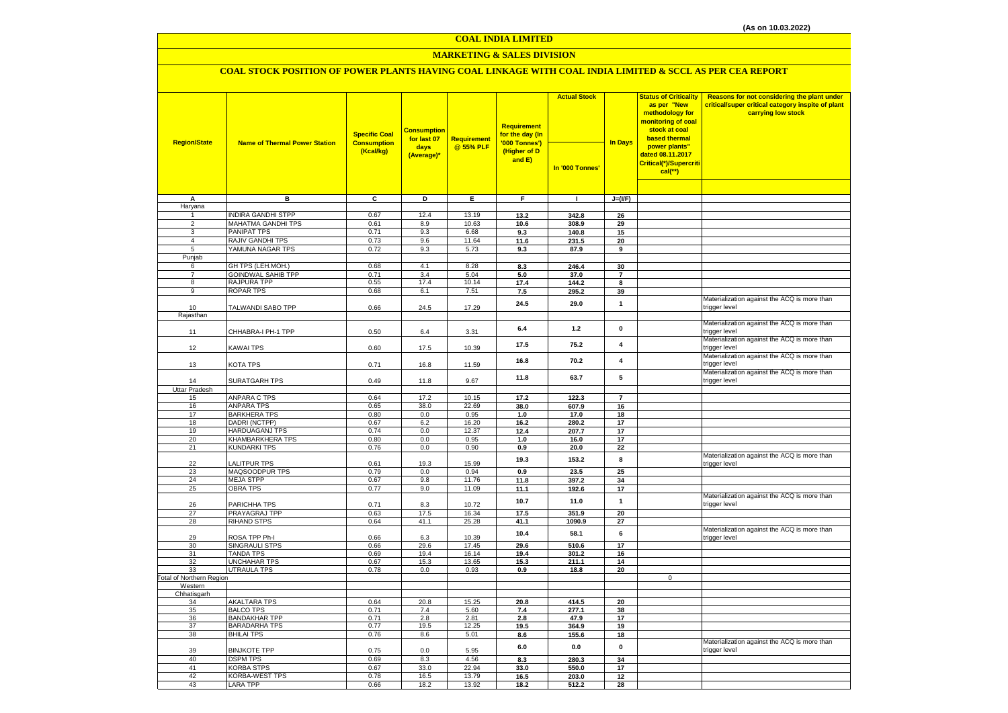#### **COAL INDIA LIMITED**

# **MARKETING & SALES DIVISION**

# **COAL STOCK POSITION OF POWER PLANTS HAVING COAL LINKAGE WITH COAL INDIA LIMITED & SCCL AS PER CEA REPORT**

| <b>Region/State</b>             | <b>Name of Thermal Power Station</b>       | <b>Specific Coal</b><br><b>Consumption</b> | <b>Consumption</b><br>for last 07 | <b>Requirement</b> | <b>Requirement</b><br>for the day (In<br>'000 Tonnes') | <b>Actual Stock</b> | <b>In Days</b>          | <b>Status of Criticality</b><br>as per "New<br>methodology for<br><mark>monitoring of coal</mark><br>stock at coal<br>based thermal | Reasons for not considering the plant under<br>critical/super critical category inspite of plant<br>carrying low stock |
|---------------------------------|--------------------------------------------|--------------------------------------------|-----------------------------------|--------------------|--------------------------------------------------------|---------------------|-------------------------|-------------------------------------------------------------------------------------------------------------------------------------|------------------------------------------------------------------------------------------------------------------------|
|                                 |                                            | (Kcal/kg)                                  | days<br>(Average)*                | @ 55% PLF          | (Higher of D<br>and E)                                 | In '000 Tonnes'     |                         | power plants"<br>dated 08.11.2017<br>Critical(*)/Supercriti<br>$cal$ (**)                                                           |                                                                                                                        |
|                                 |                                            |                                            |                                   |                    |                                                        |                     |                         |                                                                                                                                     |                                                                                                                        |
| А                               | в                                          | c                                          | Þ                                 | Е                  | F                                                      | $\mathbf{I}$        | $J=(I/F)$               |                                                                                                                                     |                                                                                                                        |
| Haryana<br>1                    | <b>INDIRA GANDHI STPP</b>                  | 0.67                                       | 12.4                              | 13.19              | 13.2                                                   | 342.8               | 26                      |                                                                                                                                     |                                                                                                                        |
| 2                               | MAHATMA GANDHI TPS                         | 0.61                                       | 8.9                               | 10.63              | 10.6                                                   | 308.9               | 29                      |                                                                                                                                     |                                                                                                                        |
| 3                               | PANIPAT TPS                                | 0.71                                       | 9.3                               | 6.68               | 9.3                                                    | 140.8               | 15                      |                                                                                                                                     |                                                                                                                        |
| 4                               | <b>RAJIV GANDHI TPS</b>                    | 0.73                                       | 9.6                               | 11.64              | 11.6                                                   | 231.5               | 20                      |                                                                                                                                     |                                                                                                                        |
| 5                               | YAMUNA NAGAR TPS                           | 0.72                                       | 9.3                               | 5.73               | 9.3                                                    | 87.9                | $\overline{9}$          |                                                                                                                                     |                                                                                                                        |
| Punjab                          |                                            |                                            |                                   |                    |                                                        |                     |                         |                                                                                                                                     |                                                                                                                        |
| 6                               | GH TPS (LEH.MOH.)                          | 0.68                                       | 4.1                               | 8.28               | 8.3                                                    | 246.4               | 30                      |                                                                                                                                     |                                                                                                                        |
| $\overline{7}$                  | <b>GOINDWAL SAHIB TPP</b>                  | 0.71                                       | 3.4                               | 5.04               | 5.0                                                    | 37.0                | $\overline{7}$          |                                                                                                                                     |                                                                                                                        |
| 8<br>9                          | RAJPURA TPP<br>ROPAR TPS                   | 0.55<br>0.68                               | 17.4<br>6.1                       | 10.14<br>7.51      | 17.4<br>7.5                                            | 144.2<br>295.2      | 8<br>39                 |                                                                                                                                     |                                                                                                                        |
|                                 |                                            |                                            |                                   |                    |                                                        |                     |                         |                                                                                                                                     | Materialization against the ACQ is more than                                                                           |
| 10                              | TALWANDI SABO TPP                          | 0.66                                       | 24.5                              | 17.29              | 24.5                                                   | 29.0                | $\mathbf{1}$            |                                                                                                                                     | trigger level                                                                                                          |
| Rajasthan                       |                                            |                                            |                                   |                    |                                                        |                     |                         |                                                                                                                                     |                                                                                                                        |
| 11                              | CHHABRA-I PH-1 TPP                         | 0.50                                       | 6.4                               | 3.31               | 6.4                                                    | $1.2$               | $\mathbf 0$             |                                                                                                                                     | Materialization against the ACQ is more than<br>trigger level                                                          |
| 12                              | <b>KAWAI TPS</b>                           | 0.60                                       | 17.5                              | 10.39              | 17.5                                                   | 75.2                | 4                       |                                                                                                                                     | Materialization against the ACQ is more than<br>trigger level                                                          |
| 13                              | KOTA TPS                                   | 0.71                                       | 16.8                              | 11.59              | 16.8                                                   | 70.2                | $\overline{\mathbf{4}}$ |                                                                                                                                     | Materialization against the ACQ is more than<br>trigger level                                                          |
| 14<br>Uttar Pradesh             | SURATGARH TPS                              | 0.49                                       | 11.8                              | 9.67               | 11.8                                                   | 63.7                | 5                       |                                                                                                                                     | Materialization against the ACQ is more than<br>trigger level                                                          |
| 15                              | <b>ANPARA C TPS</b>                        | 0.64                                       | 17.2                              | 10.15              | 17.2                                                   | 122.3               | $\overline{7}$          |                                                                                                                                     |                                                                                                                        |
| 16                              | <b>ANPARA TPS</b>                          | 0.65                                       | 38.0                              | 22.69              | 38.0                                                   | 607.9               | 16                      |                                                                                                                                     |                                                                                                                        |
| 17                              | <b>BARKHERA TPS</b>                        | 0.80                                       | 0.0                               | 0.95               | 1.0                                                    | 17.0                | 18                      |                                                                                                                                     |                                                                                                                        |
| 18                              | DADRI (NCTPP)                              | 0.67                                       | 6.2                               | 16.20              | 16.2                                                   | 280.2               | 17                      |                                                                                                                                     |                                                                                                                        |
| 19                              | <b>HARDUAGANJ TPS</b>                      | 0.74                                       | 0.0                               | 12.37              | 12.4                                                   | 207.7               | 17                      |                                                                                                                                     |                                                                                                                        |
| 20                              | KHAMBARKHERA TPS                           | 0.80                                       | 0.0                               | 0.95               | 1.0                                                    | 16.0                | 17                      |                                                                                                                                     |                                                                                                                        |
| 21<br>22                        | <b>KUNDARKI TPS</b><br><b>LALITPUR TPS</b> | 0.76<br>0.61                               | 0.0<br>19.3                       | 0.90<br>15.99      | 0.9<br>19.3                                            | 20.0<br>153.2       | 22<br>8                 |                                                                                                                                     | Materialization against the ACQ is more than                                                                           |
| 23                              | MAQSOODPUR TPS                             | 0.79                                       | 0.0                               | 0.94               | 0.9                                                    | 23.5                | 25                      |                                                                                                                                     | trigger level                                                                                                          |
| 24                              | <b>MEJA STPP</b>                           | 0.67                                       | 9.8                               | 11.76              | 11.8                                                   | 397.2               | 34                      |                                                                                                                                     |                                                                                                                        |
| 25                              | <b>OBRA TPS</b>                            | 0.77                                       | 9.0                               | 11.09              | 11.1                                                   | 192.6               | 17                      |                                                                                                                                     |                                                                                                                        |
| 26                              | PARICHHA TPS                               | 0.71                                       | 8.3                               | 10.72              | 10.7                                                   | 11.0                | $\mathbf{1}$            |                                                                                                                                     | Materialization against the ACQ is more than<br>trigger level                                                          |
| 27                              | PRAYAGRAJ TPP                              | 0.63                                       | 17.5                              | 16.34              | 17.5                                                   | 351.9               | 20                      |                                                                                                                                     |                                                                                                                        |
| 28                              | <b>RIHAND STPS</b>                         | 0.64                                       | 41.1                              | 25.28              | 41.1                                                   | 1090.9              | 27                      |                                                                                                                                     | Materialization against the ACQ is more than                                                                           |
| 29                              | ROSA TPP Ph-I                              | 0.66                                       | 6.3                               | 10.39              | 10.4                                                   | 58.1                | 6                       |                                                                                                                                     | trigger level                                                                                                          |
| 30                              | SINGRAULI STPS                             | 0.66                                       | 29.6                              | 17.45              | 29.6                                                   | 510.6               | 17                      |                                                                                                                                     |                                                                                                                        |
| 31                              | <b>TANDA TPS</b>                           | 0.69                                       | 19.4                              | 16.14              | 19.4                                                   | 301.2               | 16                      |                                                                                                                                     |                                                                                                                        |
| 32<br>33                        | <b>UNCHAHAR TPS</b><br><b>UTRAULA TPS</b>  | 0.67<br>0.78                               | 15.3<br>0.0                       | 13.65<br>0.93      | 15.3<br>0.9                                            | 211.1<br>18.8       | 14<br>20                |                                                                                                                                     |                                                                                                                        |
| <b>Total of Northern Region</b> |                                            |                                            |                                   |                    |                                                        |                     |                         | $\Omega$                                                                                                                            |                                                                                                                        |
| Western                         |                                            |                                            |                                   |                    |                                                        |                     |                         |                                                                                                                                     |                                                                                                                        |
| Chhatisgarh                     |                                            |                                            |                                   |                    |                                                        |                     |                         |                                                                                                                                     |                                                                                                                        |
| 34                              | <b>AKALTARA TPS</b>                        | 0.64                                       | 20.8                              | 15.25              | 20.8                                                   | 414.5               | 20                      |                                                                                                                                     |                                                                                                                        |
| 35<br>36                        | <b>BALCO TPS</b><br><b>BANDAKHAR TPP</b>   | 0.71<br>0.71                               | 7.4<br>2.8                        | 5.60<br>2.81       | 7.4<br>2.8                                             | 277.1<br>47.9       | 38<br>17                |                                                                                                                                     |                                                                                                                        |
| 37                              | <b>BARADARHA TPS</b>                       | 0.77                                       | 19.5                              | 12.25              | 19.5                                                   | 364.9               | 19                      |                                                                                                                                     |                                                                                                                        |
| 38                              | <b>BHILAI TPS</b>                          | 0.76                                       | 8.6                               | 5.01               | 8.6                                                    | 155.6               | 18                      |                                                                                                                                     |                                                                                                                        |
| 39                              | <b>BINJKOTE TPP</b>                        | 0.75                                       | 0.0                               | 5.95               | 6.0                                                    | 0.0                 | $\pmb{0}$               |                                                                                                                                     | Materialization against the ACQ is more than<br>trigger level                                                          |
| 40                              | <b>DSPM TPS</b>                            | 0.69                                       | 8.3                               | 4.56               | 8.3                                                    | 280.3               | 34                      |                                                                                                                                     |                                                                                                                        |
| 41                              | <b>KORBA STPS</b>                          | 0.67                                       | 33.0                              | 22.94              | 33.0                                                   | 550.0               | 17                      |                                                                                                                                     |                                                                                                                        |
| 42                              | <b>KORBA-WEST TPS</b>                      | 0.78                                       | 16.5                              | 13.79              | 16.5                                                   | 203.0               | 12                      |                                                                                                                                     |                                                                                                                        |
| 43                              | <b>LARA TPP</b>                            | 0.66                                       | 18.2                              | 13.92              | 18.2                                                   | 512.2               | 28                      |                                                                                                                                     |                                                                                                                        |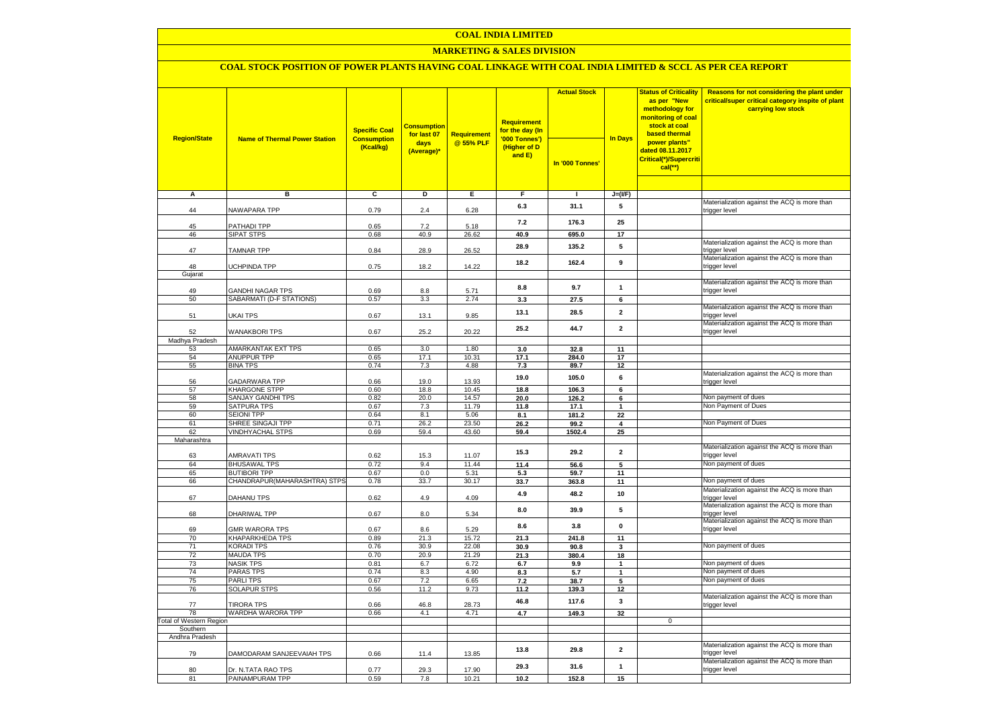### **COAL INDIA LIMITED**

### **MARKETING & SALES DIVISION**

# **COAL STOCK POSITION OF POWER PLANTS HAVING COAL LINKAGE WITH COAL INDIA LIMITED & SCCL AS PER CEA REPORT**

| <b>Region/State</b>                        | <b>Name of Thermal Power Station</b>            | <b>Specific Coal</b><br><b>Consumption</b><br>(Kcal/kg) | <b>Consumption</b><br>for last 07<br>days<br>(Average)* | <b>Requirement</b><br>@ 55% PLF | <b>Requirement</b><br>for the day (In<br>'000 Tonnes')<br>(Higher of D<br>and E) | <b>Actual Stock</b><br>In '000 Tonnes' | <b>In Days</b>          | <b>Status of Criticality</b><br>as per "New<br>methodology for<br>monitoring of coal<br>stock at coal<br>based thermal<br>power plants"<br>dated 08.11.2017<br>Critical(*)/Supercriti<br>$cal$ (**) | Reasons for not considering the plant under<br>critical/super critical category inspite of plant<br>carrying low stock |
|--------------------------------------------|-------------------------------------------------|---------------------------------------------------------|---------------------------------------------------------|---------------------------------|----------------------------------------------------------------------------------|----------------------------------------|-------------------------|-----------------------------------------------------------------------------------------------------------------------------------------------------------------------------------------------------|------------------------------------------------------------------------------------------------------------------------|
|                                            |                                                 |                                                         |                                                         |                                 |                                                                                  |                                        |                         |                                                                                                                                                                                                     |                                                                                                                        |
| A                                          | в                                               | c                                                       | D                                                       | Е                               | F                                                                                | $\mathbf{I}$                           | $J=(I/F)$               |                                                                                                                                                                                                     | Materialization against the ACQ is more than                                                                           |
| 44                                         | NAWAPARA TPP                                    | 0.79                                                    | 2.4                                                     | 6.28                            | 6.3                                                                              | 31.1                                   | 5                       |                                                                                                                                                                                                     | trigger level                                                                                                          |
| 45                                         | PATHADI TPP                                     | 0.65                                                    | 7.2                                                     | 5.18                            | 7.2                                                                              | 176.3                                  | 25                      |                                                                                                                                                                                                     |                                                                                                                        |
| 46                                         | SIPAT STPS                                      | 0.68                                                    | 40.9                                                    | 26.62                           | 40.9                                                                             | 695.0                                  | 17                      |                                                                                                                                                                                                     |                                                                                                                        |
| 47                                         | <b>TAMNAR TPP</b>                               | 0.84                                                    | 28.9                                                    | 26.52                           | 28.9                                                                             | 135.2                                  | 5                       |                                                                                                                                                                                                     | Materialization against the ACQ is more than<br>trigger level                                                          |
| 48                                         | <b>UCHPINDA TPP</b>                             | 0.75                                                    | 18.2                                                    | 14.22                           | 18.2                                                                             | 162.4                                  | 9                       |                                                                                                                                                                                                     | Materialization against the ACQ is more than<br>trigger level                                                          |
| Gujarat                                    |                                                 |                                                         |                                                         |                                 |                                                                                  |                                        |                         |                                                                                                                                                                                                     |                                                                                                                        |
| 49                                         | <b>GANDHI NAGAR TPS</b>                         | 0.69                                                    | 8.8                                                     | 5.71                            | 8.8                                                                              | 9.7                                    | $\mathbf{1}$            |                                                                                                                                                                                                     | Materialization against the ACQ is more than<br>trigger level                                                          |
| 50                                         | SABARMATI (D-F STATIONS)                        | 0.57                                                    | 3.3                                                     | 2.74                            | 3.3                                                                              | 27.5                                   | 6                       |                                                                                                                                                                                                     |                                                                                                                        |
|                                            |                                                 |                                                         |                                                         |                                 |                                                                                  |                                        | $\overline{2}$          |                                                                                                                                                                                                     | Materialization against the ACQ is more than                                                                           |
| 51                                         | UKAI TPS                                        | 0.67                                                    | 13.1                                                    | 9.85                            | 13.1                                                                             | 28.5                                   | $\overline{2}$          |                                                                                                                                                                                                     | trigger level<br>Materialization against the ACQ is more than                                                          |
| 52                                         | <b>WANAKBORI TPS</b>                            | 0.67                                                    | 25.2                                                    | 20.22                           | 25.2                                                                             | 44.7                                   |                         |                                                                                                                                                                                                     | trigger level                                                                                                          |
| Madhya Pradesh                             |                                                 |                                                         |                                                         |                                 |                                                                                  |                                        |                         |                                                                                                                                                                                                     |                                                                                                                        |
| 53                                         | AMARKANTAK EXT TPS<br><b>ANUPPUR TPP</b>        | 0.65                                                    | 3.0<br>17.1                                             | 1.80                            | 3.0<br>17.1                                                                      | 32.8                                   | 11<br>17                |                                                                                                                                                                                                     |                                                                                                                        |
| 54<br>55                                   | <b>BINA TPS</b>                                 | 0.65<br>0.74                                            | 7.3                                                     | 10.31<br>4.88                   | 7.3                                                                              | 284.0<br>89.7                          | 12                      |                                                                                                                                                                                                     |                                                                                                                        |
| 56                                         | GADARWARA TPP                                   | 0.66                                                    | 19.0                                                    | 13.93                           | 19.0                                                                             | 105.0                                  | 6                       |                                                                                                                                                                                                     | Materialization against the ACQ is more than<br>trigger level                                                          |
| 57                                         | KHARGONE STPP                                   | 0.60                                                    | 18.8                                                    | 10.45                           | 18.8                                                                             | 106.3                                  | 6                       |                                                                                                                                                                                                     |                                                                                                                        |
| 58                                         | SANJAY GANDHI TPS                               | 0.82                                                    | 20.0                                                    | 14.57                           | 20.0                                                                             | 126.2                                  | 6                       |                                                                                                                                                                                                     | Non payment of dues                                                                                                    |
| 59                                         | <b>SATPURA TPS</b>                              | 0.67                                                    | 7.3                                                     | 11.79                           | 11.8                                                                             | 17.1                                   | $\mathbf{1}$            |                                                                                                                                                                                                     | Non Payment of Dues                                                                                                    |
| 60                                         | <b>SEIONI TPP</b>                               | 0.64                                                    | 8.1                                                     | 5.06                            | 8.1                                                                              | 181.2                                  | 22                      |                                                                                                                                                                                                     |                                                                                                                        |
| 61                                         | SHREE SINGAJI TPP                               | 0.71                                                    | 26.2                                                    | 23.50                           | 26.2                                                                             | 99.2                                   | 4                       |                                                                                                                                                                                                     | Non Payment of Dues                                                                                                    |
| 62                                         | <b>VINDHYACHAL STPS</b>                         | 0.69                                                    | 59.4                                                    | 43.60                           | 59.4                                                                             | 1502.4                                 | 25                      |                                                                                                                                                                                                     |                                                                                                                        |
| Maharashtra                                |                                                 |                                                         |                                                         |                                 |                                                                                  |                                        |                         |                                                                                                                                                                                                     | Materialization against the ACQ is more than                                                                           |
| 63                                         | <b>AMRAVATI TPS</b>                             | 0.62                                                    | 15.3                                                    | 11.07                           | 15.3                                                                             | 29.2                                   | $\overline{\mathbf{2}}$ |                                                                                                                                                                                                     | trigger level                                                                                                          |
| 64<br>65                                   | <b>BHUSAWAL TPS</b><br><b>BUTIBORI TPP</b>      | 0.72<br>0.67                                            | 9.4<br>0.0                                              | 11.44<br>5.31                   | 11.4                                                                             | 56.6<br>59.7                           | 5<br>11                 |                                                                                                                                                                                                     | Non payment of dues                                                                                                    |
| 66                                         | CHANDRAPUR(MAHARASHTRA) STPS                    | 0.78                                                    | 33.7                                                    | 30.17                           | 5.3<br>33.7                                                                      | 363.8                                  | 11                      |                                                                                                                                                                                                     | Non payment of dues                                                                                                    |
|                                            |                                                 |                                                         |                                                         |                                 | 4.9                                                                              | 48.2                                   | 10                      |                                                                                                                                                                                                     | Materialization against the ACQ is more than                                                                           |
| 67                                         | <b>DAHANU TPS</b>                               | 0.62                                                    | 4.9                                                     | 4.09                            | 8.0                                                                              | 39.9                                   | 5                       |                                                                                                                                                                                                     | trigger level<br>Materialization against the ACQ is more than                                                          |
| 68                                         | DHARIWAL TPP                                    | 0.67                                                    | 8.0                                                     | 5.34                            | 8.6                                                                              | 3.8                                    | $\pmb{0}$               |                                                                                                                                                                                                     | trigger level<br>Materialization against the ACQ is more than                                                          |
| 69                                         | <b>GMR WARORA TPS</b><br><b>KHAPARKHEDA TPS</b> | 0.67                                                    | 8.6                                                     | 5.29                            |                                                                                  |                                        |                         |                                                                                                                                                                                                     | trigger level                                                                                                          |
| 70<br>71                                   | <b>KORADI TPS</b>                               | 0.89<br>0.76                                            | 21.3<br>30.9                                            | 15.72<br>22.08                  | 21.3<br>30.9                                                                     | 241.8<br>90.8                          | 11<br>3                 |                                                                                                                                                                                                     | Non payment of dues                                                                                                    |
| 72                                         | <b>MAUDA TPS</b>                                | 0.70                                                    | 20.9                                                    | 21.29                           | 21.3                                                                             | 380.4                                  | 18                      |                                                                                                                                                                                                     |                                                                                                                        |
| 73                                         | <b>NASIK TPS</b>                                | 0.81                                                    | 6.7                                                     | 6.72                            | 6.7                                                                              | 9.9                                    | $\mathbf{1}$            |                                                                                                                                                                                                     | Non payment of dues                                                                                                    |
| 74                                         | <b>PARAS TPS</b>                                | 0.74                                                    | 8.3                                                     | 4.90                            | 8.3                                                                              | 5.7                                    | $\mathbf{1}$            |                                                                                                                                                                                                     | Non payment of dues                                                                                                    |
| 75                                         | <b>PARLITPS</b>                                 | 0.67                                                    | 7.2                                                     | 6.65                            | 7.2                                                                              | 38.7                                   | 5                       |                                                                                                                                                                                                     | Non payment of dues                                                                                                    |
| 76                                         | <b>SOLAPUR STPS</b>                             | 0.56                                                    | 11.2                                                    | 9.73                            | 11.2                                                                             | 139.3                                  | 12                      |                                                                                                                                                                                                     |                                                                                                                        |
| 77                                         | <b>TIRORA TPS</b>                               | 0.66                                                    | 46.8                                                    | 28.73                           | 46.8                                                                             | 117.6                                  | 3                       |                                                                                                                                                                                                     | Materialization against the ACQ is more than<br>trigger level                                                          |
| 78                                         | WARDHA WARORA TPP                               | 0.66                                                    | 4.1                                                     | 4.71                            | 4.7                                                                              | 149.3                                  | 32                      |                                                                                                                                                                                                     |                                                                                                                        |
| <b>Total of Western Region</b><br>Southern |                                                 |                                                         |                                                         |                                 |                                                                                  |                                        |                         | $\mathbf 0$                                                                                                                                                                                         |                                                                                                                        |
| Andhra Pradesh                             |                                                 |                                                         |                                                         |                                 |                                                                                  |                                        |                         |                                                                                                                                                                                                     |                                                                                                                        |
| 79                                         | DAMODARAM SANJEEVAIAH TPS                       | 0.66                                                    | 11.4                                                    | 13.85                           | 13.8                                                                             | 29.8                                   | $\overline{2}$          |                                                                                                                                                                                                     | Materialization against the ACQ is more than<br>trigger level                                                          |
| 80                                         | Dr. N.TATA RAO TPS                              | 0.77                                                    | 29.3                                                    | 17.90                           | 29.3                                                                             | 31.6                                   | $\mathbf{1}$            |                                                                                                                                                                                                     | Materialization against the ACQ is more than<br>trigger level                                                          |
| 81                                         | PAINAMPURAM TPP                                 | 0.59                                                    | 7.8                                                     | 10.21                           | 10.2                                                                             | 152.8                                  | 15                      |                                                                                                                                                                                                     |                                                                                                                        |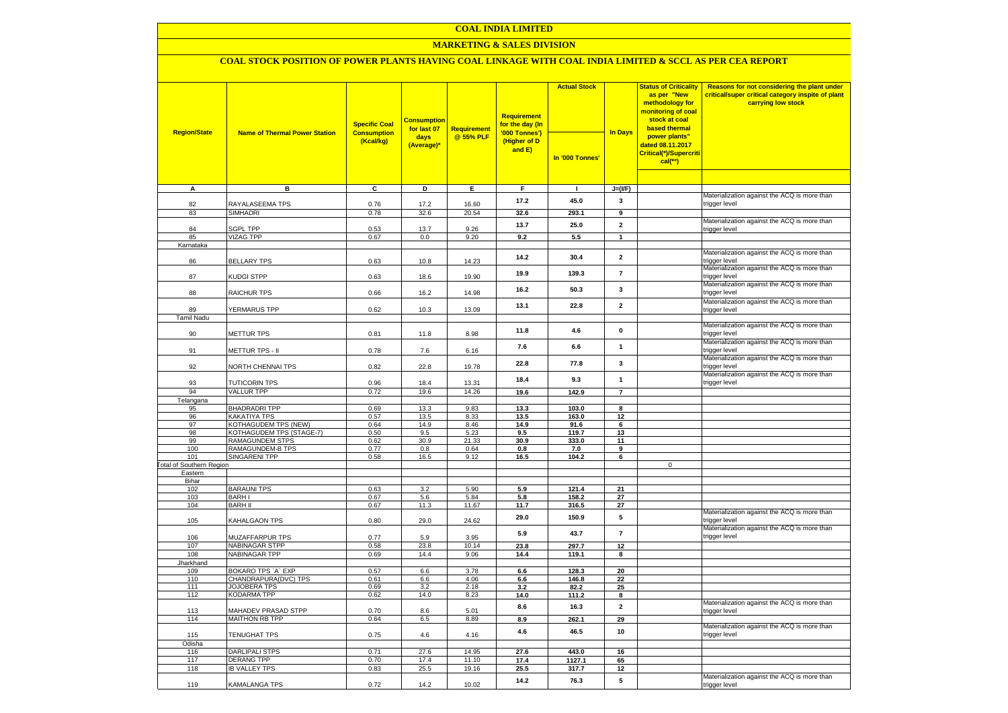### **COAL INDIA LIMITED**

### **MARKETING & SALES DIVISION**

### **COAL STOCK POSITION OF POWER PLANTS HAVING COAL LINKAGE WITH COAL INDIA LIMITED & SCCL AS PER CEA REPORT**

|                                        |                                      | <b>Specific Coal</b><br><b>Consumption</b> | <b>Consumption</b><br>for last 07 | Requirement  | <b>Requirement</b><br>for the day (In   | <b>Actual Stock</b> | <b>In Days</b>          | <b>Status of Criticality</b><br>as per "New<br>methodology for<br>monitoring of coal<br>stock at coal<br>based thermal | Reasons for not considering the plant under<br>critical/super critical category inspite of plant<br>carrying low stock |
|----------------------------------------|--------------------------------------|--------------------------------------------|-----------------------------------|--------------|-----------------------------------------|---------------------|-------------------------|------------------------------------------------------------------------------------------------------------------------|------------------------------------------------------------------------------------------------------------------------|
| <b>Region/State</b>                    | <b>Name of Thermal Power Station</b> | (Kcal/kg)                                  | days<br>(Average)*                | @ 55% PLF    | '000 Tonnes')<br>(Higher of D<br>and E) | In '000 Tonnes'     |                         | power plants"<br>dated 08.11.2017<br>Critical(*)/Supercriti<br>$cal$ (**)                                              |                                                                                                                        |
|                                        |                                      |                                            |                                   |              |                                         |                     |                         |                                                                                                                        |                                                                                                                        |
| $\overline{A}$                         | в                                    | c                                          | Þ                                 | E            | F                                       | $\mathbf{I}$        | $J=(I/F)$               |                                                                                                                        | Materialization against the ACQ is more than                                                                           |
| 82                                     | RAYALASEEMA TPS                      | 0.76                                       | 17.2                              | 16.60        | 17.2                                    | 45.0                | 3                       |                                                                                                                        | trigger level                                                                                                          |
| 83                                     | <b>SIMHADRI</b>                      | 0.78                                       | 32.6                              | 20.54        | 32.6                                    | 293.1               | $\overline{9}$          |                                                                                                                        |                                                                                                                        |
|                                        |                                      |                                            |                                   |              | 13.7                                    | 25.0                | $\overline{2}$          |                                                                                                                        | Materialization against the ACQ is more than                                                                           |
| 84                                     | <b>SGPL TPP</b>                      | 0.53                                       | 13.7                              | 9.26         |                                         |                     |                         |                                                                                                                        | trigger level                                                                                                          |
| 85<br>Karnataka                        | <b>VIZAG TPP</b>                     | 0.67                                       | 0.0                               | 9.20         | 9.2                                     | $5.5\,$             | $\mathbf{1}$            |                                                                                                                        |                                                                                                                        |
|                                        |                                      |                                            |                                   |              |                                         |                     |                         |                                                                                                                        | Materialization against the ACQ is more than                                                                           |
| 86                                     | <b>BELLARY TPS</b>                   | 0.63                                       | 10.8                              | 14.23        | 14.2                                    | 30.4                | $\overline{\mathbf{2}}$ |                                                                                                                        | trigger level                                                                                                          |
| 87                                     | KUDGI STPP                           | 0.63                                       | 18.6                              | 19.90        | 19.9                                    | 139.3               | $\overline{7}$          |                                                                                                                        | Materialization against the ACQ is more than<br>trigger level                                                          |
| 88                                     | RAICHUR TPS                          | 0.66                                       | 16.2                              | 14.98        | 16.2                                    | 50.3                | $\mathbf{3}$            |                                                                                                                        | Materialization against the ACQ is more than<br>trigger level                                                          |
|                                        |                                      |                                            |                                   |              | 13.1                                    | 22.8                | $\overline{2}$          |                                                                                                                        | Materialization against the ACQ is more than                                                                           |
| 89<br><b>Tamil Nadu</b>                | YERMARUS TPP                         | 0.62                                       | 10.3                              | 13.09        |                                         |                     |                         |                                                                                                                        | trigger level                                                                                                          |
|                                        |                                      |                                            |                                   |              |                                         |                     |                         |                                                                                                                        | Materialization against the ACQ is more than                                                                           |
| 90                                     | <b>METTUR TPS</b>                    | 0.81                                       | 11.8                              | 8.98         | 11.8                                    | 4.6                 | $\mathbf{0}$            |                                                                                                                        | trigger level                                                                                                          |
| 91                                     | METTUR TPS - II                      | 0.78                                       | 7.6                               | 6.16         | 7.6                                     | 6.6                 | $\mathbf{1}$            |                                                                                                                        | Materialization against the ACQ is more than<br>trigger level                                                          |
| 92                                     | NORTH CHENNAI TPS                    | 0.82                                       | 22.8                              | 19.78        | 22.8                                    | 77.8                | $\mathbf{3}$            |                                                                                                                        | Materialization against the ACQ is more than<br>trigger level                                                          |
| 93                                     | <b>TUTICORIN TPS</b>                 | 0.96                                       | 18.4                              | 13.31        | 18.4                                    | 9.3                 | $\mathbf{1}$            |                                                                                                                        | Materialization against the ACQ is more than<br>trigger level                                                          |
| 94                                     | <b>VALLUR TPP</b>                    | 0.72                                       | 19.6                              | 14.26        | 19.6                                    | 142.9               | $\overline{7}$          |                                                                                                                        |                                                                                                                        |
| Telangana                              |                                      |                                            |                                   |              |                                         |                     |                         |                                                                                                                        |                                                                                                                        |
| 95<br>96                               | <b>BHADRADRI TPP</b><br>KAKATIYA TPS | 0.69<br>0.57                               | 13.3<br>13.5                      | 9.83<br>8.33 | 13.3<br>13.5                            | 103.0<br>163.0      | 8<br>12                 |                                                                                                                        |                                                                                                                        |
| 97                                     | KOTHAGUDEM TPS (NEW)                 | 0.64                                       | 14.9                              | 8.46         | 14.9                                    | 91.6                | $6\overline{6}$         |                                                                                                                        |                                                                                                                        |
| 98                                     | KOTHAGUDEM TPS (STAGE-7)             | 0.50                                       | 9.5                               | 5.23         | 9.5                                     | 119.7               | 13                      |                                                                                                                        |                                                                                                                        |
| 99                                     | <b>RAMAGUNDEM STPS</b>               | 0.62                                       | 30.9                              | 21.33        | 30.9                                    | 333.0               | 11                      |                                                                                                                        |                                                                                                                        |
| 100                                    | RAMAGUNDEM-B TPS                     | 0.77                                       | 0.8                               | 0.64         | 0.8                                     | 7.0                 | 9                       |                                                                                                                        |                                                                                                                        |
| 101<br><b>Total of Southern Region</b> | <b>SINGARENI TPP</b>                 | 0.58                                       | 16.5                              | 9.12         | 16.5                                    | 104.2               | 6                       | $\mathbf 0$                                                                                                            |                                                                                                                        |
| Eastern                                |                                      |                                            |                                   |              |                                         |                     |                         |                                                                                                                        |                                                                                                                        |
| Bihar                                  |                                      |                                            |                                   |              |                                         |                     |                         |                                                                                                                        |                                                                                                                        |
| 102                                    | <b>BARAUNI TPS</b>                   | 0.63                                       | 3.2                               | 5.90         | 5.9                                     | 121.4               | 21                      |                                                                                                                        |                                                                                                                        |
| 103                                    | <b>BARHI</b>                         | 0.67                                       | 5.6                               | 5.84         | 5.8                                     | 158.2               | 27                      |                                                                                                                        |                                                                                                                        |
| 104                                    | <b>BARH II</b>                       | 0.67                                       | 11.3                              | 11.67        | 11.7                                    | 316.5               | 27                      |                                                                                                                        | Materialization against the ACQ is more than                                                                           |
| 105                                    | KAHALGAON TPS                        | 0.80                                       | 29.0                              | 24.62        | 29.0                                    | 150.9               | 5                       |                                                                                                                        | trigger level<br>Materialization against the ACQ is more than                                                          |
| 106                                    | MUZAFFARPUR TPS                      | 0.77                                       | 5.9                               | 3.95         | 5.9                                     | 43.7                | $\boldsymbol{7}$        |                                                                                                                        | trigger level                                                                                                          |
| 107                                    | <b>NABINAGAR STPP</b>                | 0.58                                       | 23.8                              | 10.14        | 23.8                                    | 297.7               | 12                      |                                                                                                                        |                                                                                                                        |
| 108                                    | <b>NABINAGAR TPP</b>                 | 0.69                                       | 14.4                              | 9.06         | 14.4                                    | 119.1               | 8                       |                                                                                                                        |                                                                                                                        |
| Jharkhand<br>109                       | BOKARO TPS 'A' EXP                   | 0.57                                       | 6.6                               | 3.78         | 6.6                                     | 128.3               | 20                      |                                                                                                                        |                                                                                                                        |
| 110                                    | CHANDRAPURA(DVC) TPS                 | 0.61                                       | 6.6                               | 4.06         | 6.6                                     | 146.8               | 22                      |                                                                                                                        |                                                                                                                        |
| 111                                    | <b>JOJOBERA TPS</b>                  | 0.69                                       | 3.2                               | 2.18         | 3.2                                     | 82.2                | 25                      |                                                                                                                        |                                                                                                                        |
| 112                                    | <b>KODARMA TPP</b>                   | 0.62                                       | 14.0                              | 8.23         | 14.0                                    | 111.2               | 8                       |                                                                                                                        |                                                                                                                        |
| 113                                    | MAHADEV PRASAD STPP                  | 0.70                                       | 8.6                               | 5.01         | 8.6                                     | 16.3                | $\mathbf{2}$            |                                                                                                                        | Materialization against the ACQ is more than<br>trigger level                                                          |
| 114                                    | <b>MAITHON RB TPP</b>                | 0.64                                       | 6.5                               | 8.89         | 8.9                                     | 262.1               | 29                      |                                                                                                                        |                                                                                                                        |
| 115                                    | <b>TENUGHAT TPS</b>                  | 0.75                                       | 4.6                               | 4.16         | 4.6                                     | 46.5                | 10                      |                                                                                                                        | Materialization against the ACQ is more than<br>trigger level                                                          |
| Odisha<br>116                          | DARLIPALI STPS                       | 0.71                                       | 27.6                              | 14.95        | 27.6                                    | 443.0               | 16                      |                                                                                                                        |                                                                                                                        |
| 117                                    | <b>DERANG TPP</b>                    | 0.70                                       | 17.4                              | 11.10        | 17.4                                    | 1127.1              | 65                      |                                                                                                                        |                                                                                                                        |
| 118                                    | <b>IB VALLEY TPS</b>                 | 0.83                                       | 25.5                              | 19.16        | 25.5                                    | 317.7               | 12                      |                                                                                                                        |                                                                                                                        |
| 119                                    | KAMALANGA TPS                        | 0.72                                       | 14.2                              | 10.02        | 14.2                                    | 76.3                | 5                       |                                                                                                                        | Materialization against the ACQ is more than<br>trigger level                                                          |